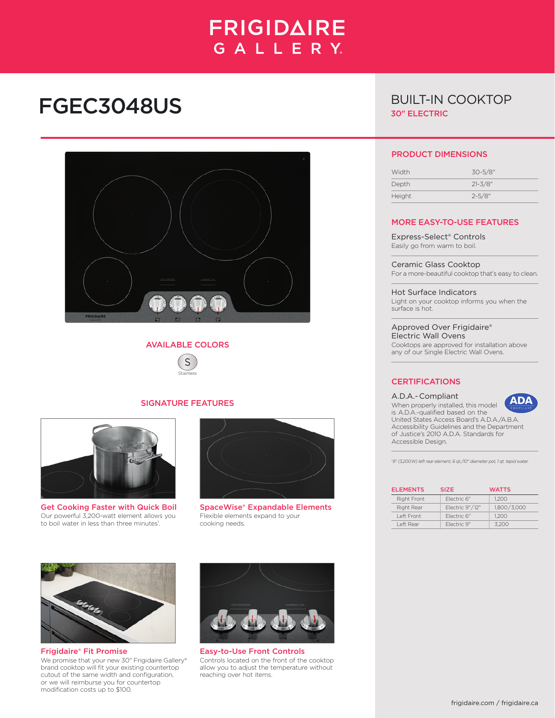## **FRIGIDAIRE** GALLERY.

# FGEC3048US



#### AVAILABLE COLORS



#### SIGNATURE FEATURES



Get Cooking Faster with Quick Boil Our powerful 3,200-watt element allows you to boil water in less than three minutes<sup>1</sup>.



SpaceWise® Expandable Elements Flexible elements expand to your cooking needs.



Frigidaire® Fit Promise We promise that your new 30" Frigidaire Gallery® brand cooktop will fit your existing countertop cutout of the same width and configuration, or we will reimburse you for countertop modification costs up to \$100.



Easy-to-Use Front Controls Controls located on the front of the cooktop allow you to adjust the temperature without reaching over hot items.

### BUILT-IN COOKTOP 30" ELECTRIC

#### PRODUCT DIMENSIONS

| Width         | 30-5/8"     |
|---------------|-------------|
| Depth         | $21 - 3/8"$ |
| <b>Height</b> | $2 - 5/8"$  |

#### MORE EASY-TO-USE FEATURES

Express-Select® Controls Easily go from warm to boil.

Ceramic Glass Cooktop For a more-beautiful cooktop that's easy to clean.

Hot Surface Indicators Light on your cooktop informs you when the surface is hot.

Approved Over Frigidaire® Electric Wall Ovens Cooktops are approved for installation above any of our Single Electric Wall Ovens.

#### **CERTIFICATIONS**

#### A.D.A.- Compliant



When properly installed, this model is A.D.A.-qualified based on the United States Access Board's A.D.A./A.B.A. Accessibility Guidelines and the Department of Justice's 2010 A.D.A. Standards for Accessible Design.

*1 9" (3,200 W) left rear element, 6 qt./10" diameter pot, 1 qt. tepid water.*

| <b>ELEMENTS</b> | <b>SIZE</b>     | <b>WATTS</b> |
|-----------------|-----------------|--------------|
| Right Front     | Electric 6"     | 1.200        |
| Right Rear      | Electric 9"/12" | 1.800/3.000  |
| I eft Front     | Electric 6"     | 1.200        |
| Left Rear       | Flectric 9"     | 3.200        |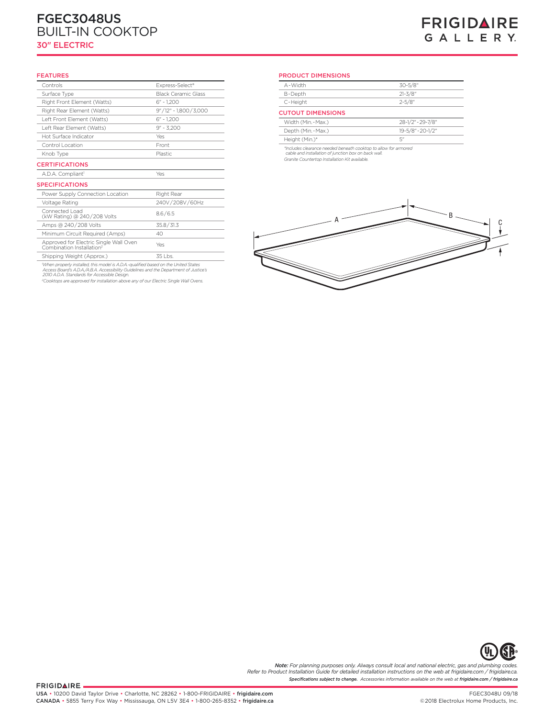#### **Frigidaire Baseline** FGEC3048US BUILT-IN COOKTOP 30" ELECTRIC

### **FRIGIDAIRE** GALLERY.

#### FEATURES

| Controls                                                                        | Express-Select®            |
|---------------------------------------------------------------------------------|----------------------------|
| Surface Type                                                                    | <b>Black Ceramic Glass</b> |
| Right Front Element (Watts)                                                     | $6" - 1.200$               |
| Right Rear Element (Watts)                                                      | 9"/12" - 1,800/3,000       |
| Left Front Element (Watts)                                                      | $6" - 1.200$               |
| Left Rear Element (Watts)                                                       | $9'' - 3.200$              |
| Hot Surface Indicator                                                           | Yes                        |
| Control Location                                                                | Front                      |
| Knob Type                                                                       | <b>Plastic</b>             |
| <b>CERTIFICATIONS</b>                                                           |                            |
|                                                                                 |                            |
| A.D.A. Compliant <sup>1</sup>                                                   | Yes                        |
| <b>SPECIFICATIONS</b>                                                           |                            |
| Power Supply Connection Location                                                | Right Rear                 |
| Voltage Rating                                                                  | 240V/208V/60Hz             |
| Connected Load<br>(kW Rating) @ 240/208 Volts                                   | 8.6/6.5                    |
| Amps @ 240/208 Volts                                                            | 35.8 / 31.3                |
| Minimum Circuit Required (Amps)                                                 | 40                         |
| Approved for Electric Single Wall Oven<br>Combination Installation <sup>2</sup> | Yes                        |

'When properly installed, this model is A.D.A.-qualified based on the United States<br>Access Board's A.D.A./A.B.A. Accessibility Guidelines and the Department of Justice's<br>2010 A.D.A. Standards for Accessible Design.

*2 Cooktops are approved for installation above any of our Electric Single Wall Ovens.*

#### PRODUCT DIMENSIONS

| A-Width                  | $30 - 5/8$ "      |
|--------------------------|-------------------|
| B-Depth                  | $21 - 3/8"$       |
| C-Height                 | $2 - 5/8"$        |
| <b>CUTOUT DIMENSIONS</b> |                   |
| Width (Min.-Max.)        | 28-1/2" - 29-7/8" |
| Depth (Min. - Max.)      | 19-5/8" - 20-1/2" |
| Height (Min.)*           | $\nabla''$        |
|                          |                   |

*\*Includes clearance needed beneath cooktop to allow for armored cable and installation of junction box on back wall. Granite Countertop Installation Kit available.*





*Specifications subject to change. Accessories information available on the web at frigidaire.com / frigidaire.ca Note: For planning purposes only. Always consult local and national electric, gas and plumbing codes. Refer to Product Installation Guide for detailed installation instructions on the web at frigidaire.com / frigidaire.ca.*